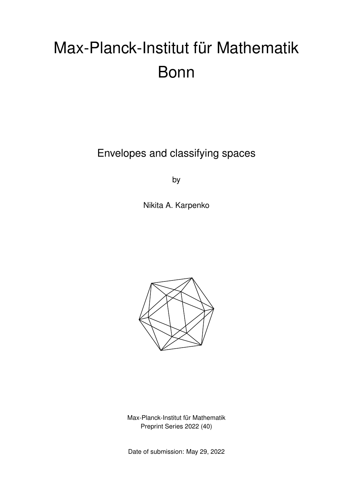# Max-Planck-Institut für Mathematik Bonn

Envelopes and classifying spaces

by

Nikita A. Karpenko



Max-Planck-Institut für Mathematik Preprint Series 2022 (40)

Date of submission: May 29, 2022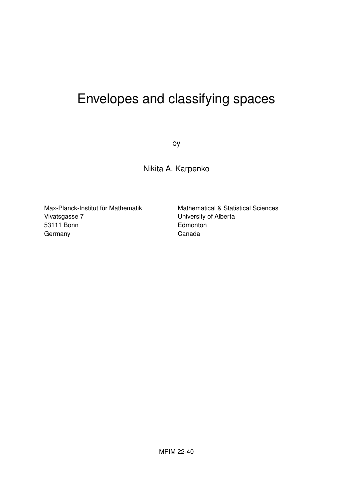## Envelopes and classifying spaces

by

Nikita A. Karpenko

Max-Planck-Institut für Mathematik Vivatsgasse 7 53111 Bonn **Germany** 

Mathematical & Statistical Sciences University of Alberta **Edmonton** Canada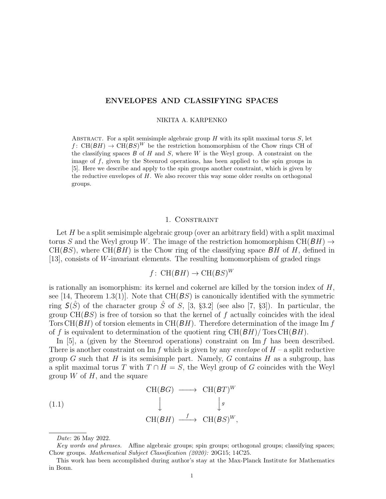#### **ENVELOPES AND CLASSIFYING SPACES**

#### NIKITA A. KARPENKO

ABSTRACT. For a split semisimple algebraic group  $H$  with its split maximal torus  $S$ , let *f* : CH(*BH*)  $\rightarrow$  CH(*BS*)<sup>*W*</sup> be the restriction homomorphism of the Chow rings CH of the classifying spaces *B* of *H* and *S*, where *W* is the Weyl group. A constraint on the image of *f*, given by the Steenrod operations, has been applied to the spin groups in [5]. Here we describe and apply to the spin groups another constraint, which is given by the reductive envelopes of *H*. We also recover this way some older results on orthogonal groups.

#### 1. Constraint

Let *H* be a split semisimple algebraic group (over an arbitrary field) with a split maximal torus *S* and the Weyl group *W*. The image of the restriction homomorphism  $CH(BH) \rightarrow$  $CH(BS)$ , where  $CH(BH)$  is the Chow ring of the classifying space  $BH$  of  $H$ , defined in [13], consists of *W*-invariant elements. The resulting homomorphism of graded rings

$$
f
$$
: CH $(BH)$   $\rightarrow$  CH $(BS)^W$ 

is rationally an isomorphism: its kernel and cokernel are killed by the torsion index of *H*, see [14, Theorem 1.3(1)]. Note that CH(*BS*) is canonically identified with the symmetric ring  $S(\hat{S})$  of the character group  $\hat{S}$  of *S*, [3, §3.2] (see also [7, §3]). In particular, the group CH(*BS*) is free of torsion so that the kernel of *f* actually coincides with the ideal Tors CH(*BH*) of torsion elements in CH(*BH*). Therefore determination of the image Im *f* of *f* is equivalent to determination of the quotient ring CH(*BH*)*/* Tors CH(*BH*).

In [5], a (given by the Steenrod operations) constraint on Im *f* has been described. There is another constraint on Im  $f$  which is given by any *envelope* of  $H$  – a split reductive group *G* such that *H* is its semisimple part. Namely, *G* contains *H* as a subgroup, has a split maximal torus *T* with  $T \cap H = S$ , the Weyl group of *G* coincides with the Weyl group *W* of *H*, and the square

(1.1)  
\n
$$
\begin{array}{cccc}\n\text{CH}(BG) & \longrightarrow & \text{CH}(BT)^W \\
& \downarrow & \downarrow^g \\
& \text{CH}(BH) & \xrightarrow{f} & \text{CH}(BS)^W,\n\end{array}
$$

*Date*: 26 May 2022.

*Key words and phrases.* Affine algebraic groups; spin groups; orthogonal groups; classifying spaces; Chow groups. *Mathematical Subject Classification (2020):* 20G15; 14C25.

This work has been accomplished during author's stay at the Max-Planck Institute for Mathematics in Bonn.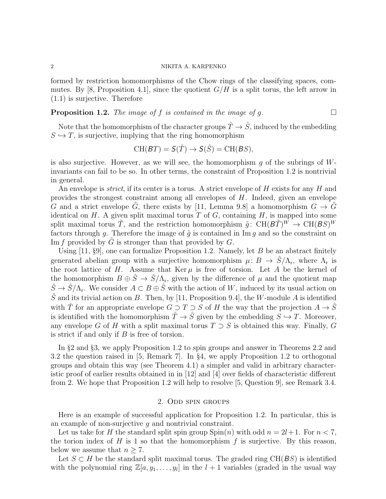formed by restriction homomorphisms of the Chow rings of the classifying spaces, commutes. By [8, Proposition 4.1], since the quotient  $G/H$  is a split torus, the left arrow in (1.1) is surjective. Therefore

#### **Proposition 1.2.** *The image of f is contained in the image of g.*  $\Box$

Note that the homomorphism of the character groups  $\hat{T} \to \hat{S}$ , induced by the embedding  $S \hookrightarrow T$ , is surjective, implying that the ring homomorphism

$$
\text{CH}(BT) = \mathcal{S}(\hat{T}) \to \mathcal{S}(\hat{S}) = \text{CH}(BS),
$$

is also surjective. However, as we will see, the homomorphism *g* of the subrings of *W*invariants can fail to be so. In other terms, the constraint of Proposition 1.2 is nontrivial in general.

An envelope is *strict*, if its center is a torus. A strict envelope of *H* exists for any *H* and provides the strongest constraint among all envelopes of *H*. Indeed, given an envelope *G* and a strict envelope  $\tilde{G}$ , there exists by [11, Lemma 9.8] a homomorphism  $G \rightarrow \tilde{G}$ identical on  $H$ . A given split maximal torus  $T$  of  $G$ , containing  $H$ , is mapped into some split maximal torus  $\tilde{T}$ , and the restriction homomorphism  $\tilde{g}$ : CH( $B\tilde{T}$ )<sup>*W*</sup>  $\rightarrow$  CH( $B\tilde{S}$ )<sup>*W*</sup> factors through *q*. Therefore the image of  $\tilde{q}$  is contained in Im *q* and so the constraint on Im *f* provided by *G* is stronger than that provided by *G*.

Using [11, §9], one can formalize Proposition 1.2. Namely, let *B* be an abstract finitely generated abelian group with a surjective homomorphism  $\mu: B \to \hat{S}/\Lambda_r$ , where  $\Lambda_r$  is the root lattice of *H*. Assume that  $\text{Ker }\mu$  is free of torsion. Let *A* be the kernel of the homomorphism  $B \oplus \hat{S} \to \hat{S}/\Lambda_{\rm r}$ , given by the difference of  $\mu$  and the quotient map  $\hat{S} \to \hat{S}/\Lambda_r$ . We consider  $A \subset B \oplus \hat{S}$  with the action of *W*, induced by its usual action on  $\hat{S}$  and its trivial action on *B*. Then, by [11, Proposition 9.4], the *W*-module *A* is identified with  $\hat{T}$  for an appropriate envelope  $G \supset T \supset S$  of *H* the way that the projection  $A \to \hat{S}$ is identified with the homomorphism  $\hat{T} \to \hat{S}$  given by the embedding  $S \to T$ . Moreover, any envelope *G* of *H* with a split maximal torus  $T \supset S$  is obtained this way. Finally, *G* is strict if and only if *B* is free of torsion.

In §2 and §3, we apply Proposition 1.2 to spin groups and answer in Theorems 2.2 and 3.2 the question raised in [5, Remark 7]. In §4, we apply Proposition 1.2 to orthogonal groups and obtain this way (see Theorem 4.1) a simpler and valid in arbitrary characteristic proof of earlier results obtained in in [12] and [4] over fields of characteristic different from 2. We hope that Proposition 1.2 will help to resolve [5, Question 9], see Remark 3.4.

#### 2. Odd spin groups

Here is an example of successful application for Proposition 1.2. In particular, this is an example of non-surjective *g* and nontrivial constraint.

Let us take for *H* the standard split spin group  $\text{Spin}(n)$  with odd  $n = 2l + 1$ . For  $n < 7$ , the torion index of  $H$  is 1 so that the homomorphism  $f$  is surjective. By this reason, below we assume that  $n \geq 7$ .

Let  $S \subset H$  be the standard split maximal torus. The graded ring CH( $BS$ ) is identified with the polynomial ring  $\mathbb{Z}[a, y_1, \ldots, y_l]$  in the  $l + 1$  variables (graded in the usual way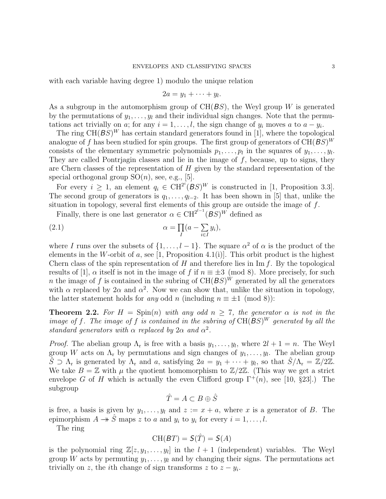with each variable having degree 1) modulo the unique relation

$$
2a=y_1+\cdots+y_l.
$$

As a subgroup in the automorphism group of CH(*BS*), the Weyl group *W* is generated by the permutations of  $y_1, \ldots, y_l$  and their individual sign changes. Note that the permutations act trivially on *a*; for any  $i = 1, \ldots, l$ , the sign change of  $y_i$  moves *a* to  $a - y_i$ .

The ring  $CH(BS)^W$  has certain standard generators found in [1], where the topological analogue of f has been studied for spin groups. The first group of generators of  $CH(BS)^W$ consists of the elementary symmetric polynomials  $p_1, \ldots, p_l$  in the squares of  $y_1, \ldots, y_l$ . They are called Pontrjagin classes and lie in the image of *f*, because, up to signs, they are Chern classes of the representation of *H* given by the standard representation of the special orthogonal group  $SO(n)$ , see, e.g., [5].

For every  $i \geq 1$ , an element  $q_i \in \text{CH}^{2^i}(BS)^W$  is constructed in [1, Proposition 3.3]. The second group of generators is  $q_1, \ldots, q_{l-2}$ . It has been shown in [5] that, unlike the situation in topology, several first elements of this group are outside the image of *f*.

Finally, there is one last generator  $\alpha \in \mathrm{CH}^{2^{l-1}}(BS)^W$  defined as

(2.1) 
$$
\alpha = \prod_{I} (a - \sum_{i \in I} y_i),
$$

where *I* runs over the subsets of  $\{1, \ldots, l-1\}$ . The square  $\alpha^2$  of  $\alpha$  is the product of the elements in the *W*-orbit of *a*, see [1, Proposition 4.1(i)]. This orbit product is the highest Chern class of the spin representation of *H* and therefore lies in Im *f*. By the topological results of [1],  $\alpha$  itself is not in the image of f if  $n \equiv \pm 3 \pmod{8}$ . More precisely, for such *n* the image of f is contained in the subring of  $CH(BS)^W$  generated by all the generators with  $\alpha$  replaced by  $2\alpha$  and  $\alpha^2$ . Now we can show that, unlike the situation in topology, the latter statement holds for *any* odd *n* (including  $n \equiv \pm 1 \pmod{8}$ ):

**Theorem 2.2.** For  $H = \text{Spin}(n)$  with any odd  $n > 7$ , the generator  $\alpha$  is not in the *image of*  $f$ *. The image of*  $f$  *is contained in the subring of*  $CH(BS)^W$  *generated by all the standard generators with*  $\alpha$  *replaced by*  $2\alpha$  *and*  $\alpha^2$ *.* 

*Proof.* The abelian group  $\Lambda_r$  is free with a basis  $y_1, \ldots, y_l$ , where  $2l + 1 = n$ . The Weyl group *W* acts on  $\Lambda_r$  by permutations and sign changes of  $y_1, \ldots, y_l$ . The abelian group  $\tilde{S}$   $\supset \Lambda_r$  is generated by  $\Lambda_r$  and *a*, satisfying  $2a = y_1 + \cdots + y_l$ , so that  $\hat{S}/\Lambda_r = \mathbb{Z}/2\mathbb{Z}$ . We take  $B = \mathbb{Z}$  with  $\mu$  the quotient homomorphism to  $\mathbb{Z}/2\mathbb{Z}$ . (This way we get a strict envelope *G* of *H* which is actually the even Clifford group  $\Gamma^+(n)$ , see [10, §23].) The subgroup

$$
\hat{T} = A \subset B \oplus \hat{S}
$$

is free, a basis is given by  $y_1, \ldots, y_l$  and  $z := x + a$ , where x is a generator of B. The epimorphism  $A \rightarrow \hat{S}$  maps *z* to *a* and  $y_i$  to  $y_i$  for every  $i = 1, ..., l$ .

The ring

$$
\text{CH}(BT) = \mathsf{S}(\hat{T}) = \mathsf{S}(A)
$$

is the polynomial ring  $\mathbb{Z}[z, y_1, \ldots, y_l]$  in the  $l + 1$  (independent) variables. The Weyl group *W* acts by permuting  $y_1, \ldots, y_l$  and by changing their signs. The permutations act trivially on *z*, the *i*th change of sign transforms *z* to  $z - y_i$ .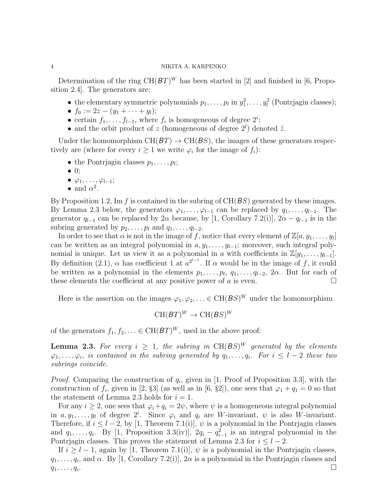Determination of the ring  $CH(BT)^W$  has been started in [2] and finished in [6, Proposition 2.4]. The generators are:

- the elementary symmetric polynomials  $p_1, \ldots, p_l$  in  $y_1^2, \ldots, y_l^2$  (Pontrjagin classes);
- $f_0 := 2z (y_1 + \cdots + y_l);$
- certain  $f_1, \ldots, f_{l-1}$ , where  $f_i$  is homogeneous of degree  $2^i$ ;
- and the orbit product of *z* (homogeneous of degree  $2^l$ ) denoted  $\tilde{z}$ .

Under the homomorphism  $CH(BT) \rightarrow CH(BS)$ , the images of these generators respectively are (where for every  $i \geq 1$  we write  $\varphi_i$  for the image of  $f_i$ ):

- the Pontrjagin classes  $p_1, \ldots, p_l$ ;
- *•* 0;
- *• ϕ*1*, . . . , ϕ<sup>l</sup>−*<sup>1</sup>;
- and  $\alpha^2$ .

By Proposition 1.2, Im *f* is contained in the subring of CH(*BS*) generated by these images. By Lemma 2.3 below, the generators  $\varphi_1, \ldots, \varphi_{l-1}$  can be replaced by  $q_1, \ldots, q_{l-1}$ . The generator  $q_{l-1}$  can be replaced by 2 $\alpha$  because, by [1, Corollary 7.2(i)], 2 $\alpha - q_{l-1}$  is in the subring generated by  $p_2, \ldots, p_l$  and  $q_1, \ldots, q_{l-2}$ .

In order to see that  $\alpha$  is not in the image of  $f$ , notice that every element of  $\mathbb{Z}[a, y_1, \ldots, y_l]$ can be written as an integral polynomial in  $a, y_1, \ldots, y_{l-1}$ ; moreover, such integral polynomial is unique. Let us view it as a polynomial in *a* with coefficients in  $\mathbb{Z}[y_1, \ldots, y_{l-1}]$ . By definition (2.1),  $\alpha$  has coefficient 1 at  $a^{2^{l-1}}$ . If  $\alpha$  would be in the image of f, it could be written as a polynomial in the elements  $p_1, \ldots, p_l, q_1, \ldots, q_{l-2}, 2\alpha$ . But for each of these elements the coefficient at any positive power of  $a$  is even.  $\Box$ 

Here is the assertion on the images  $\varphi_1, \varphi_2, \ldots \in CH(BS)^W$  under the homomorphism

$$
\mathrm{CH}(BT)^W \to \mathrm{CH}(BS)^W
$$

of the generators  $f_1, f_2, \ldots \in \mathrm{CH}(BT)^W$ , used in the above proof:

**Lemma 2.3.** For every  $i \geq 1$ , the subring in  $CH(BS)^W$  generated by the elements  $\varphi_1, \ldots, \varphi_i$ , is contained in the subring generated by  $q_1, \ldots, q_i$ . For  $i \leq l-2$  these two *subrings coincide.*

*Proof.* Comparing the construction of *q<sup>i</sup>* , given in [1, Proof of Proposition 3.3], with the construction of  $f_i$ , given in [2, §3] (as well as in [6, §2]), one sees that  $\varphi_1 + q_1 = 0$  so that the statement of Lemma 2.3 holds for  $i = 1$ .

For any  $i \geq 2$ , one sees that  $\varphi_i + q_i = 2\psi$ , where  $\psi$  is a homogeneous integral polynomial in  $a, y_1, \ldots, y_l$  of degree  $2^i$ . Since  $\varphi_i$  and  $q_i$  are *W*-invariant,  $\psi$  is also *W*-invariant. Therefore, if  $i \leq l-2$ , by [1, Theorem 7.1(i)],  $\psi$  is a polynomial in the Pontrjagin classes and  $q_1, \ldots, q_i$ . By [1, Proposition 3.3(iv)],  $2q_i - q_{i-1}^2$  is an integral polynomial in the Pontrjagin classes. This proves the statement of Lemma 2.3 for  $i \leq l - 2$ .

If  $i \geq l-1$ , again by [1, Theorem 7.1(i)],  $\psi$  is a polynomial in the Pontrjagin classes,  $q_1, \ldots, q_i$ , and  $\alpha$ . By [1, Corollary 7.2(i)],  $2\alpha$  is a polynomial in the Pontrjagin classes and  $q_1, \ldots, q_i$ . . □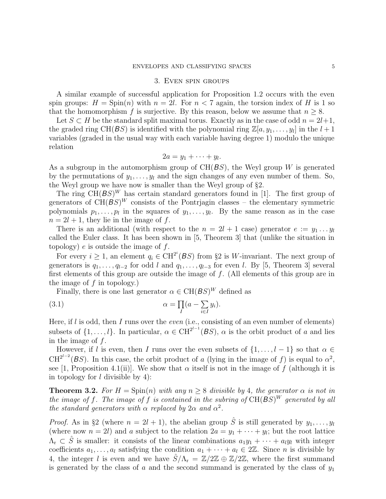#### 3. Even spin groups

A similar example of successful application for Proposition 1.2 occurs with the even spin groups:  $H = \text{Spin}(n)$  with  $n = 2l$ . For  $n < 7$  again, the torsion index of *H* is 1 so that the homomorphism *f* is surjective. By this reason, below we assume that  $n \geq 8$ .

Let  $S \subset H$  be the standard split maximal torus. Exactly as in the case of odd  $n = 2l+1$ , the graded ring  $CH(BS)$  is identified with the polynomial ring  $\mathbb{Z}[a, y_1, \ldots, y_l]$  in the  $l+1$ variables (graded in the usual way with each variable having degree 1) modulo the unique relation

$$
2a=y_1+\cdots+y_l.
$$

As a subgroup in the automorphism group of CH(*BS*), the Weyl group *W* is generated by the permutations of  $y_1, \ldots, y_l$  and the sign changes of any even number of them. So, the Weyl group we have now is smaller than the Weyl group of §2.

The ring  $CH(BS)^W$  has certain standard generators found in [1]. The first group of generators of  $CH(BS)^W$  consists of the Pontrjagin classes – the elementary symmetric polynomials  $p_1, \ldots, p_l$  in the squares of  $y_1, \ldots, y_l$ . By the same reason as in the case  $n = 2l + 1$ , they lie in the image of f.

There is an additional (with respect to the  $n = 2l + 1$  case) generator  $e := y_1 \dots y_l$ called the Euler class. It has been shown in [5, Theorem 3] that (unlike the situation in topology) *e* is outside the image of *f*.

For every  $i \geq 1$ , an element  $q_i \in \text{CH}^{2^i}(BS)$  from §2 is W-invariant. The next group of generators is  $q_1, \ldots, q_{l-2}$  for odd *l* and  $q_1, \ldots, q_{l-3}$  for even *l*. By [5, Theorem 3] several first elements of this group are outside the image of *f*. (All elements of this group are in the image of *f* in topology.)

Finally, there is one last generator  $\alpha \in \mathrm{CH}(BS)^W$  defined as

(3.1) 
$$
\alpha = \prod_{I} (a - \sum_{i \in I} y_i).
$$

Here, if *l* is odd, then *I* runs over the *even* (i.e., consisting of an even number of elements) subsets of  $\{1, \ldots, l\}$ . In particular,  $\alpha \in \text{CH}^{2^{l-1}}(BS)$ ,  $\alpha$  is the orbit product of *a* and lies in the image of *f*.

However, if *l* is even, then *I* runs over the even subsets of  $\{1, \ldots, l-1\}$  so that  $\alpha \in$  $CH^{2^{l-2}}(BS)$ . In this case, the orbit product of *a* (lying in the image of *f*) is equal to  $\alpha^2$ , see [1, Proposition 4.1(ii)]. We show that  $\alpha$  itself is not in the image of f (although it is in topology for *l* divisible by 4):

**Theorem 3.2.** For  $H = \text{Spin}(n)$  with any  $n \geq 8$  divisible by 4, the generator  $\alpha$  is not in *the image of*  $f$ *. The image of*  $f$  *is contained in the subring of*  $CH(BS)^W$  *generated by all the standard generators with*  $\alpha$  *replaced by*  $2\alpha$  *and*  $\alpha^2$ *.* 

*Proof.* As in §2 (where  $n = 2l + 1$ ), the abelian group  $\hat{S}$  is still generated by  $y_1, \ldots, y_l$ (where now  $n = 2l$ ) and *a* subject to the relation  $2a = y_1 + \cdots + y_l$ ; but the root lattice  $\Lambda_r \subset \hat{S}$  is smaller: it consists of the linear combinations  $a_1y_1 + \cdots + a_ly_l$  with integer coefficients  $a_1, \ldots, a_l$  satisfying the condition  $a_1 + \cdots + a_l \in 2\mathbb{Z}$ . Since *n* is divisible by 4, the integer *l* is even and we have  $\hat{S}/\Lambda_r = \mathbb{Z}/2\mathbb{Z} \oplus \mathbb{Z}/2\mathbb{Z}$ , where the first summand is generated by the class of *a* and the second summand is generated by the class of *y*<sup>1</sup>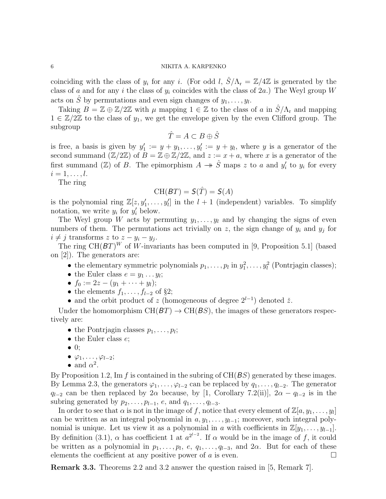coinciding with the class of  $y_i$  for any *i*. (For odd *l*,  $\hat{S}/\Lambda_r = \mathbb{Z}/4\mathbb{Z}$  is generated by the class of *a* and for any *i* the class of *y<sup>i</sup>* coincides with the class of 2*a*.) The Weyl group *W* acts on  $\hat{S}$  by permutations and even sign changes of  $y_1, \ldots, y_l$ .

Taking  $B = \mathbb{Z} \oplus \mathbb{Z}/2\mathbb{Z}$  with  $\mu$  mapping  $1 \in \mathbb{Z}$  to the class of *a* in  $S/\Lambda_r$  and mapping 1 *∈* Z*/*2Z to the class of *y*1, we get the envelope given by the even Clifford group. The subgroup

$$
\hat{T} = A \subset B \oplus \hat{S}
$$

is free, a basis is given by  $y'_1 := y + y_1, \ldots, y'_l := y + y_l$ , where *y* is a generator of the second summand  $(\mathbb{Z}/2\mathbb{Z})$  of  $B = \mathbb{Z} \oplus \mathbb{Z}/2\mathbb{Z}$ , and  $z := x + a$ , where x is a generator of the first summand  $(\mathbb{Z})$  of *B*. The epimorphism  $A \rightarrow \hat{S}$  maps *z* to *a* and  $y'_i$  to  $y_i$  for every  $i = 1, \ldots, l.$ 

The ring

### $CH(BT) = S(\hat{T}) = S(A)$

is the polynomial ring  $\mathbb{Z}[z, y'_1, \ldots, y'_l]$  in the  $l + 1$  (independent) variables. To simplify notation, we write  $y_i$  for  $y'_i$  below.

The Weyl group *W* acts by permuting  $y_1, \ldots, y_l$  and by changing the signs of even numbers of them. The permutations act trivially on  $z$ , the sign change of  $y_i$  and  $y_j$  for  $i \neq j$  transforms *z* to  $z - y_i - y_j$ .

The ring  $CH(BT)^W$  of W-invariants has been computed in [9, Proposition 5.1] (based on [2]). The generators are:

- the elementary symmetric polynomials  $p_1, \ldots, p_l$  in  $y_1^2, \ldots, y_l^2$  (Pontrjagin classes);
- the Euler class  $e = y_1 \dots y_l$ ;
- $\bullet$  *f*<sub>0</sub> := 2*z* − (*y*<sub>1</sub> + · · · + *y*<sub>*l*</sub>);
- *•* the elements *f*1*, . . . , f<sup>l</sup>−*<sup>2</sup> of §2;
- and the orbit product of *z* (homogeneous of degree  $2^{l-1}$ ) denoted  $\check{z}$ .

Under the homomorphism  $CH(BT) \rightarrow CH(BS)$ , the images of these generators respectively are:

- the Pontrjagin classes  $p_1, \ldots, p_l$ ;
- *•* the Euler class *e*;
- *•* 0;
- *• ϕ*1*, . . . , ϕ<sup>l</sup>−*<sup>2</sup>;
- and  $\alpha^2$ .

By Proposition 1.2, Im *f* is contained in the subring of CH(*BS*) generated by these images. By Lemma 2.3, the generators  $\varphi_1, \ldots, \varphi_{l-2}$  can be replaced by  $q_1, \ldots, q_{l-2}$ . The generator *q*<sub>*l*</sub><sup>−2</sup> can be then replaced by 2*α* because, by [1, Corollary 7.2(ii)], 2*α* − *q*<sub>*l*−2</sub> is in the subring generated by  $p_2, \ldots, p_{l-1}, e$ , and  $q_1, \ldots, q_{l-3}$ .

In order to see that  $\alpha$  is not in the image of  $f$ , notice that every element of  $\mathbb{Z}[a, y_1, \ldots, y_l]$ can be written as an integral polynomial in  $a, y_1, \ldots, y_{l-1}$ ; moreover, such integral polynomial is unique. Let us view it as a polynomial in *a* with coefficients in  $\mathbb{Z}[y_1, \ldots, y_{l-1}]$ . By definition (3.1),  $\alpha$  has coefficient 1 at  $a^{2^{l-2}}$ . If  $\alpha$  would be in the image of f, it could be written as a polynomial in  $p_1, \ldots, p_l, e, q_1, \ldots, q_{l-3}$ , and  $2\alpha$ . But for each of these elements the coefficient at any positive power of  $a$  is even.  $\Box$ 

**Remark 3.3.** Theorems 2.2 and 3.2 answer the question raised in [5, Remark 7].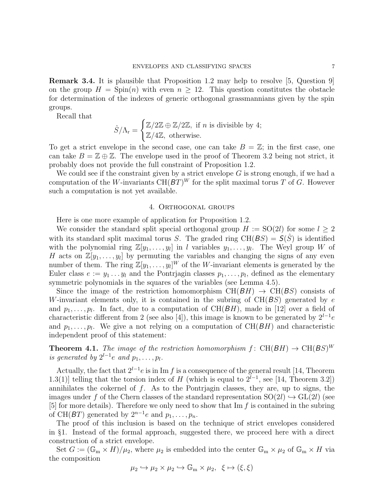**Remark 3.4.** It is plausible that Proposition 1.2 may help to resolve [5, Question 9] on the group  $H = \text{Spin}(n)$  with even  $n \geq 12$ . This question constitutes the obstacle for determination of the indexes of generic orthogonal grassmannians given by the spin groups.

Recall that

$$
\hat{S}/\Lambda_{\rm r} = \begin{cases} \mathbb{Z}/2\mathbb{Z} \oplus \mathbb{Z}/2\mathbb{Z}, \text{ if } n \text{ is divisible by 4;}\\ \mathbb{Z}/4\mathbb{Z}, \text{ otherwise.} \end{cases}
$$

To get a strict envelope in the second case, one can take  $B = \mathbb{Z}$ ; in the first case, one can take  $B = \mathbb{Z} \oplus \mathbb{Z}$ . The envelope used in the proof of Theorem 3.2 being not strict, it probably does not provide the full constraint of Proposition 1.2.

We could see if the constraint given by a strict envelope *G* is strong enough, if we had a computation of the *W*-invariants  $CH(BT)^W$  for the split maximal torus *T* of *G*. However such a computation is not yet available.

#### 4. Orthogonal groups

Here is one more example of application for Proposition 1.2.

We consider the standard split special orthogonal group  $H := SO(2l)$  for some  $l \geq 2$ with its standard split maximal torus *S*. The graded ring  $CH(BS) = S(S)$  is identified with the polynomial ring  $\mathbb{Z}[y_1,\ldots,y_l]$  in *l* variables  $y_1,\ldots,y_l$ . The Weyl group *W* of *H* acts on  $\mathbb{Z}[y_1,\ldots,y_l]$  by permuting the variables and changing the signs of any even number of them. The ring  $\mathbb{Z}[y_1,\ldots,y_l]^W$  of the *W*-invariant elements is generated by the Euler class  $e := y_1 \ldots y_l$  and the Pontrjagin classes  $p_1, \ldots, p_l$ , defined as the elementary symmetric polynomials in the squares of the variables (see Lemma 4.5).

Since the image of the restriction homomorphism  $CH(BH) \rightarrow CH(BS)$  consists of *W*-invariant elements only, it is contained in the subring of CH(*BS*) generated by *e* and  $p_1, \ldots, p_l$ . In fact, due to a computation of  $CH(BH)$ , made in [12] over a field of characteristic different from 2 (see also [4]), this image is known to be generated by  $2^{l-1}e$ and  $p_1, \ldots, p_l$ . We give a not relying on a computation of  $CH(BH)$  and characteristic independent proof of this statement:

**Theorem 4.1.** The image of the restriction homomorphism  $f: CH(BH) \rightarrow CH(BS)^W$ *is generated by*  $2^{l-1}e$  *and*  $p_1, \ldots, p_l$ .

Actually, the fact that  $2^{l-1}e$  is in Im *f* is a consequence of the general result [14, Theorem 1.3(1)] telling that the torsion index of *H* (which is equal to  $2^{l-1}$ , see [14, Theorem 3.2]) annihilates the cokernel of *f*. As to the Pontrjagin classes, they are, up to signs, the images under f of the Chern classes of the standard representation  $SO(2l) \hookrightarrow GL(2l)$  (see [5] for more details). Therefore we only need to show that Im *f* is contained in the subring of CH( $BT$ ) generated by  $2^{n-1}e$  and  $p_1, \ldots, p_n$ .

The proof of this inclusion is based on the technique of strict envelopes considered in §1. Instead of the formal approach, suggested there, we proceed here with a direct construction of a strict envelope.

Set  $G := (\mathbb{G}_{m} \times H)/\mu_{2}$ , where  $\mu_{2}$  is embedded into the center  $\mathbb{G}_{m} \times \mu_{2}$  of  $\mathbb{G}_{m} \times H$  via the composition

$$
\mu_2 \hookrightarrow \mu_2 \times \mu_2 \hookrightarrow \mathbb{G}_{\mathrm{m}} \times \mu_2, \ \ \xi \mapsto (\xi, \xi)
$$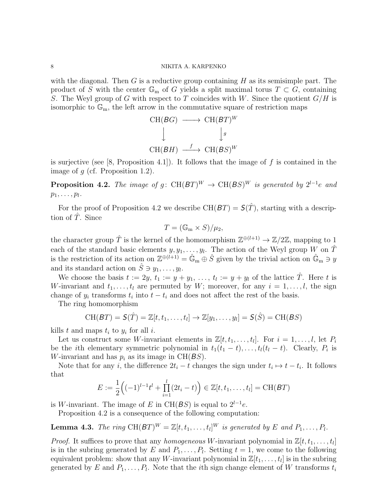with the diagonal. Then *G* is a reductive group containing *H* as its semisimple part. The product of *S* with the center  $\mathbb{G}_{m}$  of *G* yields a split maximal torus  $T \subset G$ , containing *S*. The Weyl group of *G* with respect to *T* coincides with *W*. Since the quotient *G/H* is isomorphic to  $\mathbb{G}_m$ , the left arrow in the commutative square of restriction maps

$$
\begin{array}{ccc}\n\text{CH}(BG) & \longrightarrow & \text{CH}(BT)^W \\
\downarrow & & \downarrow g \\
\text{CH}(BH) & \xrightarrow{f} & \text{CH}(BS)^W\n\end{array}
$$

is surjective (see [8, Proposition 4.1]). It follows that the image of *f* is contained in the image of *g* (cf. Proposition 1.2).

**Proposition 4.2.** *The image of*  $g: CH(BT)^W \rightarrow CH(BS)^W$  *is generated by*  $2^{l-1}e$  *and*  $p_1, \ldots, p_l$ .

For the proof of Proposition 4.2 we describe  $CH(BT) = S(\hat{T})$ , starting with a description of *T*. Since

$$
T = (\mathbb{G}_{\mathrm{m}} \times S)/\mu_2,
$$

the character group  $\hat{T}$  is the kernel of the homomorphism  $\mathbb{Z}^{\oplus (l+1)} \to \mathbb{Z}/2\mathbb{Z}$ , mapping to 1 each of the standard basic elements  $y, y_1, \ldots, y_l$ . The action of the Weyl group *W* on  $\hat{T}$ is the restriction of its action on  $\mathbb{Z}^{\oplus (l+1)} = \hat{\mathbb{G}}_m \oplus \hat{S}$  given by the trivial action on  $\hat{\mathbb{G}}_m \ni y$ and its standard action on  $\hat{S} \ni y_1, \ldots, y_l$ .

We choose the basis  $t := 2y$ ,  $t_1 := y + y_1$ , ...,  $t_l := y + y_l$  of the lattice  $\hat{T}$ . Here *t* is *W*-invariant and  $t_1, \ldots, t_l$  are permuted by *W*; moreover, for any  $i = 1, \ldots, l$ , the sign change of  $y_i$  transforms  $t_i$  into  $t - t_i$  and does not affect the rest of the basis.

The ring homomorphism

$$
\text{CH}(BT) = \mathcal{S}(\hat{T}) = \mathbb{Z}[t, t_1, \dots, t_l] \rightarrow \mathbb{Z}[y_1, \dots, y_l] = \mathcal{S}(\hat{S}) = \text{CH}(BS)
$$

kills  $t$  and maps  $t_i$  to  $y_i$  for all  $i$ .

Let us construct some *W*-invariant elements in  $\mathbb{Z}[t, t_1, \ldots, t_l]$ . For  $i = 1, \ldots, l$ , let  $P_i$ be the *i*th elementary symmetric polynomial in  $t_1(t_1 - t), \ldots, t_l(t_l - t)$ . Clearly,  $P_i$  is *W*-invariant and has  $p_i$  as its image in CH( $BS$ ).

Note that for any *i*, the difference  $2t_i - t$  changes the sign under  $t_i \mapsto t - t_i$ . It follows that

$$
E := \frac{1}{2} \Big( (-1)^{l-1} t^l + \prod_{i=1}^l (2t_i - t) \Big) \in \mathbb{Z}[t, t_1, \dots, t_l] = \text{CH}(BT)
$$

is *W*-invariant. The image of *E* in CH( $BS$ ) is equal to  $2^{l-1}e$ .

Proposition 4.2 is a consequence of the following computation:

**Lemma 4.3.** *The ring*  $\text{CH}(BT)^W = \mathbb{Z}[t, t_1, \ldots, t_l]^W$  *is generated by E* and  $P_1, \ldots, P_l$ .

*Proof.* It suffices to prove that any *homogeneous W*-invariant polynomial in  $\mathbb{Z}[t, t_1, \ldots, t_l]$ is in the subring generated by *E* and  $P_1, \ldots, P_l$ . Setting  $t = 1$ , we come to the following equivalent problem: show that any *W*-invariant polynomial in  $\mathbb{Z}[t_1,\ldots,t_l]$  is in the subring generated by *E* and  $P_1, \ldots, P_l$ . Note that the *i*th sign change element of *W* transforms  $t_i$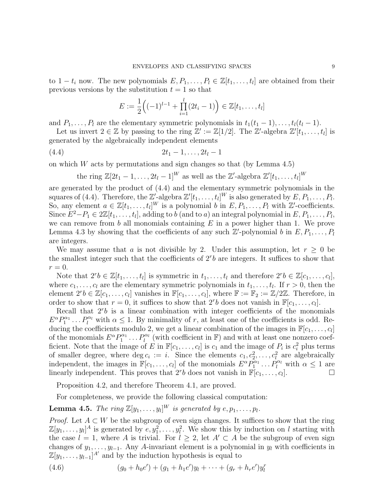to  $1 - t_i$  now. The new polynomials  $E, P_1, \ldots, P_l \in \mathbb{Z}[t_1, \ldots, t_l]$  are obtained from their previous versions by the substitution  $t = 1$  so that

$$
E := \frac{1}{2} \Big( (-1)^{l-1} + \prod_{i=1}^{l} (2t_i - 1) \Big) \in \mathbb{Z}[t_1, \dots, t_l]
$$

and *P*<sub>1</sub>*, . . . , P*<sub>*l*</sub> are the elementary symmetric polynomials in  $t_1(t_1 - 1), \ldots, t_l(t_l - 1)$ .

Let us invert  $2 \in \mathbb{Z}$  by passing to the ring  $\mathbb{Z}' := \mathbb{Z}[1/2]$ . The  $\mathbb{Z}'$ -algebra  $\mathbb{Z}'[t_1, \ldots, t_l]$  is generated by the algebraically independent elements

$$
(4.4) \t\t\t 2t_1-1,\ldots,2t_l-1
$$

on which *W* acts by permutations and sign changes so that (by Lemma 4.5)

the ring  $\mathbb{Z}[2t_1 - 1, \ldots, 2t_l - 1]^W$  as well as the  $\mathbb{Z}'$ -algebra  $\mathbb{Z}'[t_1, \ldots, t_l]^W$ 

are generated by the product of (4.4) and the elementary symmetric polynomials in the squares of (4.4). Therefore, the  $\mathbb{Z}'$ -algebra  $\mathbb{Z}'[t_1,\ldots,t_l]^W$  is also generated by  $E,P_1,\ldots,P_l.$ So, any element  $a \in \mathbb{Z}[t_1,\ldots,t_l]^W$  is a polynomial *b* in  $E, P_1,\ldots,P_l$  with  $\mathbb{Z}'$ -coefficients. Since  $E^2-P_1 \in 2\mathbb{Z}[t_1,\ldots,t_l]$ , adding to *b* (and to *a*) an integral polynomial in  $E, P_1, \ldots, P_l$ , we can remove from *b* all monomials containing *E* in a power higher than 1. We prove Lemma 4.3 by showing that the coefficients of any such  $\mathbb{Z}'$ -polynomial *b* in  $E, P_1, \ldots, P_l$ are integers.

We may assume that *a* is not divisible by 2. Under this assumption, let  $r > 0$  be the smallest integer such that the coefficients of  $2<sup>r</sup>b$  are integers. It suffices to show that  $r=0$ .

Note that  $2^rb \in \mathbb{Z}[t_1,\ldots,t_l]$  is symmetric in  $t_1,\ldots,t_l$  and therefore  $2^rb \in \mathbb{Z}[c_1,\ldots,c_l]$ , where  $c_1, \ldots, c_l$  are the elementary symmetric polynomials in  $t_1, \ldots, t_l$ . If  $r > 0$ , then the element  $2^r b \in \mathbb{Z}[c_1,\ldots,c_l]$  vanishes in  $\mathbb{F}[c_1,\ldots,c_l]$ , where  $\mathbb{F} := \mathbb{F}_2 := \mathbb{Z}/2\mathbb{Z}$ . Therefore, in order to show that  $r = 0$ , it suffices to show that  $2^r b$  does not vanish in  $\mathbb{F}[c_1, \ldots, c_l]$ .

Recall that  $2<sup>r</sup>b$  is a linear combination with integer coefficients of the monomials  $E^{\alpha}P_1^{\alpha_1} \dots P_l^{\alpha_l}$  with  $\alpha \leq 1$ . By minimality of *r*, at least one of the coefficients is odd. Reducing the coefficients modulo 2, we get a linear combination of the images in  $\mathbb{F}[c_1,\ldots,c_l]$ of the monomials  $E^{\alpha}P_1^{\alpha_1}\dots P_l^{\alpha_l}$  (with coefficient in F) and with at least one nonzero coefficient. Note that the image of *E* in  $\mathbb{F}[c_1, \ldots, c_l]$  is  $c_1$  and the image of  $P_i$  is  $c_i^2$  plus terms of smaller degree, where deg  $c_i := i$ . Since the elements  $c_1, c_2^2, \ldots, c_l^2$  are algebraically independent, the images in  $\mathbb{F}[c_1,\ldots,c_l]$  of the monomials  $E^{\alpha}P_1^{\alpha_1}\ldots P_l^{\alpha_l}$  with  $\alpha \leq 1$  are linearly independent. This proves that  $2^rb$  does not vanish in  $\mathbb{F}[c_1,\ldots,c_l]$  $\Box$ 

Proposition 4.2, and therefore Theorem 4.1, are proved.

For completeness, we provide the following classical computation:

**Lemma 4.5.** *The ring*  $\mathbb{Z}[y_1, \ldots, y_l]^W$  *is generated by*  $e, p_1, \ldots, p_l$ .

*Proof.* Let  $A \subset W$  be the subgroup of even sign changes. It suffices to show that the ring  $\mathbb{Z}[y_1,\ldots,y_l]^A$  is generated by  $e, y_1^2, \ldots, y_l^2$ . We show this by induction on *l* starting with the case  $l = 1$ , where *A* is trivial. For  $l \geq 2$ , let  $A' \subset A$  be the subgroup of even sign changes of  $y_1, \ldots, y_{l-1}$ . Any *A*-invariant element is a polynomial in  $y_l$  with coefficients in  $\mathbb{Z}[y_1,\ldots,y_{l-1}]^{A'}$  and by the induction hypothesis is equal to

(4.6) 
$$
(g_0 + h_0 e') + (g_1 + h_1 e')y_l + \cdots + (g_r + h_r e')y_l^r
$$